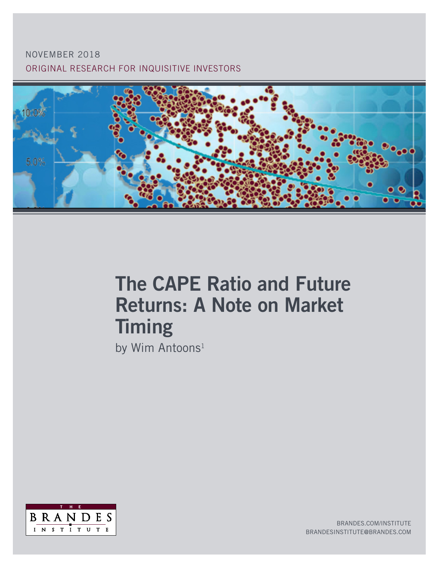## ORIGINAL RESEARCH FOR INQUISITIVE INVESTORS NOVEMBER 2018



# The CAPE Ratio and Future Returns: A Note on Market **Timing**

by Wim Antoons<sup>1</sup>



BRANDES.COM/INSTITUTE BRANDESINSTITUTE@BRANDES.COM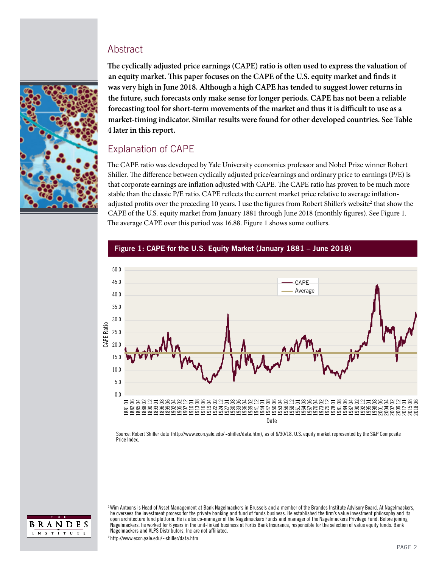#### **Abstract**



**The cyclically adjusted price earnings (CAPE) ratio is often used to express the valuation of an equity market. This paper focuses on the CAPE of the U.S. equity market and finds it was very high in June 2018. Although a high CAPE has tended to suggest lower returns in the future, such forecasts only make sense for longer periods. CAPE has not been a reliable forecasting tool for short-term movements of the market and thus it is difficult to use as a market-timing indicator. Similar results were found for other developed countries. See Table 4 later in this report.** 

## Explanation of CAPE

The CAPE ratio was developed by Yale University economics professor and Nobel Prize winner Robert Shiller. The difference between cyclically adjusted price/earnings and ordinary price to earnings (P/E) is that corporate earnings are inflation adjusted with CAPE. The CAPE ratio has proven to be much more stable than the classic P/E ratio. CAPE reflects the current market price relative to average inflationadjusted profits over the preceding 10 years. I use the figures from Robert Shiller's website<sup>2</sup> that show the CAPE of the U.S. equity market from January 1881 through June 2018 (monthly figures). See Figure 1. The average CAPE over this period was 16.88. Figure 1 shows some outliers.



#### Figure 1: CAPE for the U.S. Equity Market (January 1881 – June 2018)

Source: Robert Shiller data (http://www.econ.yale.edu/~shiller/data.htm), as of 6/30/18. U.S. equity market represented by the S&P Composite Price Index.



<sup>1</sup> Wim Antoons is Head of Asset Management at Bank Nagelmackers in Brussels and a member of the Brandes Institute Advisory Board. At Nagelmackers, he oversees the investment process for the private banking and fund of funds business. He established the firm's value investment philosophy and its open architecture fund platform. He is also co-manager of the Nagelmackers Funds and manager of the Nagelmackers Privilege Fund. Before joining Nagelmackers, he worked for 6 years in the unit-linked business at Fortis Bank Insurance, responsible for the selection of value equity funds. Bank Nagelmackers and ALPS Distributors, Inc are not affiliated.

2 http://www.econ.yale.edu/~shiller/data.htm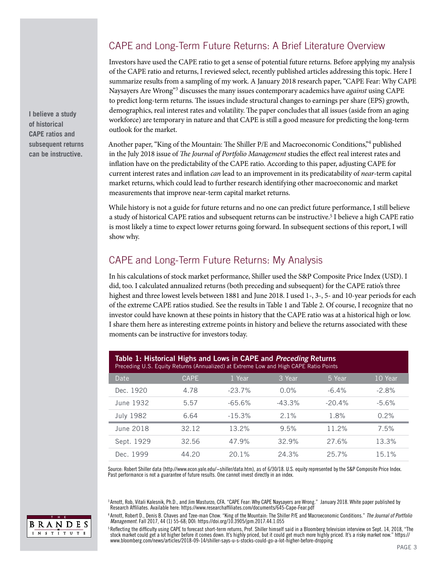## CAPE and Long-Term Future Returns: A Brief Literature Overview

Investors have used the CAPE ratio to get a sense of potential future returns. Before applying my analysis of the CAPE ratio and returns, I reviewed select, recently published articles addressing this topic. Here I summarize results from a sampling of my work. A January 2018 research paper, "CAPE Fear: Why CAPE Naysayers Are Wrong"3 discusses the many issues contemporary academics have *against* using CAPE to predict long-term returns. The issues include structural changes to earnings per share (EPS) growth, demographics, real interest rates and volatility. The paper concludes that all issues (aside from an aging workforce) are temporary in nature and that CAPE is still a good measure for predicting the long-term outlook for the market.

Another paper, "King of the Mountain: The Shiller P/E and Macroeconomic Conditions,"4 published in the July 2018 issue of *The Journal of Portfolio Management* studies the effect real interest rates and inflation have on the predictability of the CAPE ratio. According to this paper, adjusting CAPE for current interest rates and inflation *can* lead to an improvement in its predicatability of *near*-term capital market returns, which could lead to further research identifying other macroeconomic and market measurements that improve near-term capital market returns.

While history is not a guide for future returns and no one can predict future performance, I still believe a study of historical CAPE ratios and subsequent returns can be instructive.5 I believe a high CAPE ratio is most likely a time to expect lower returns going forward. In subsequent sections of this report, I will show why.

## CAPE and Long-Term Future Returns: My Analysis

In his calculations of stock market performance, Shiller used the S&P Composite Price Index (USD). I did, too. I calculated annualized returns (both preceding and subsequent) for the CAPE ratio's three highest and three lowest levels between 1881 and June 2018. I used 1-, 3-, 5- and 10-year periods for each of the extreme CAPE ratios studied. See the results in Table 1 and Table 2. Of course, I recognize that no investor could have known at these points in history that the CAPE ratio was at a historical high or low. I share them here as interesting extreme points in history and believe the returns associated with these moments can be instructive for investors today.

| Table 1: Historical Highs and Lows in CAPE and Preceding Returns<br>Preceding U.S. Equity Returns (Annualized) at Extreme Low and High CAPE Ratio Points |             |           |           |           |          |
|----------------------------------------------------------------------------------------------------------------------------------------------------------|-------------|-----------|-----------|-----------|----------|
| Date                                                                                                                                                     | <b>CAPE</b> | 1 Year    | 3 Year    | 5 Year    | 10 Year  |
| Dec. 1920                                                                                                                                                | 4.78        | $-23.7\%$ | $0.0\%$   | $-6.4\%$  | $-2.8%$  |
| June 1932                                                                                                                                                | 5.57        | $-65.6\%$ | $-43.3\%$ | $-20.4\%$ | $-5.6%$  |
| <b>July 1982</b>                                                                                                                                         | 6.64        | $-15.3%$  | 2.1%      | 1.8%      | 0.2%     |
| June 2018                                                                                                                                                | 32.12       | 13.2%     | 9.5%      | 11.2%     | 7.5%     |
| Sept. 1929                                                                                                                                               | 32.56       | 47.9%     | 32.9%     | 27.6%     | 13.3%    |
| Dec. 1999                                                                                                                                                | 44.20       | 20.1%     | 24.3%     | 25.7%     | $15.1\%$ |

Source: Robert Shiller data (http://www.econ.yale.edu/~shiller/data.htm), as of 6/30/18. U.S. equity represented by the S&P Composite Price Index. Past performance is not a guarantee of future results. One cannot invest directly in an index.

3 Arnott, Rob, Vitali Kalesnik, Ph.D., and Jim Masturzo, CFA. "CAPE Fear: Why CAPE Naysayers are Wrong." January 2018. White paper published by Research Affiliates. Available here: https://www.researchaffiliates.com/documents/645-Cape-Fear.pdf

4 Arnott, Robert D., Denis B. Chaves and Tzee-man Chow. "King of the Mountain: The Shiller P/E and Macroeconomic Conditions." *The Journal of Portfolio Management*. Fall 2017, 44 (1) 55-68; DOI: https://doi.org/10.3905/jpm.2017.44.1.055

5 Reflecting the difficulty using CAPE to forecast short-term returns, Prof. Shiller himself said in a Bloomberg television interview on Sept. 14, 2018, "The stock market could get a lot higher before it comes down. It's highly priced, but it could get much more highly priced. It's a risky market now." https:// www.bloomberg.com/news/articles/2018-09-14/shiller-says-u-s-stocks-could-go-a-lot-higher-before-dropping

**I believe a study of historical CAPE ratios and subsequent returns can be instructive.**

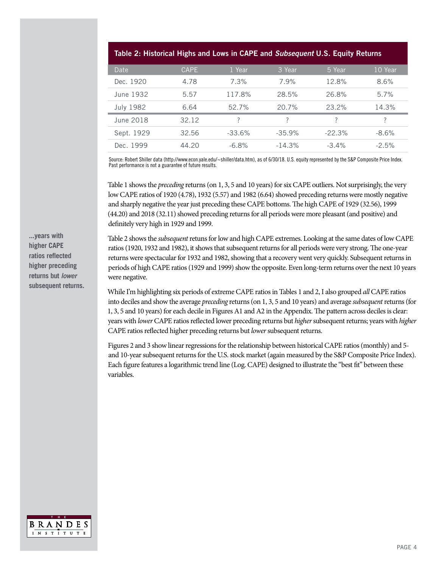| Table 2: Historical Highs and Lows in CAPE and Subsequent U.S. Equity Returns |             |           |          |          |         |
|-------------------------------------------------------------------------------|-------------|-----------|----------|----------|---------|
| Date                                                                          | <b>CAPE</b> | 1 Year    | 3 Year   | 5 Year   | 10 Year |
| Dec. 1920                                                                     | 4.78        | 7.3%      | 7.9%     | 12.8%    | 8.6%    |
| June 1932                                                                     | 5.57        | 117.8%    | 28.5%    | 26.8%    | 5.7%    |
| <b>July 1982</b>                                                              | 6.64        | 52.7%     | $20.7\%$ | 23.2%    | 14.3%   |
| June 2018                                                                     | 32.12       | ?         | ?        | ?        | ?       |
| Sept. 1929                                                                    | 32.56       | $-33.6\%$ | $-35.9%$ | $-22.3%$ | $-8.6%$ |
| Dec. 1999                                                                     | 44.20       | $-6.8%$   | $-14.3%$ | $-3.4\%$ | $-2.5%$ |

Source: Robert Shiller data (http://www.econ.yale.edu/~shiller/data.htm), as of 6/30/18. U.S. equity represented by the S&P Composite Price Index. Past performance is not a guarantee of future results.

Table 1 shows the *preceding* returns (on 1, 3, 5 and 10 years) for six CAPE outliers. Not surprisingly, the very low CAPE ratios of 1920 (4.78), 1932 (5.57) and 1982 (6.64) showed preceding returns were mostly negative and sharply negative the year just preceding these CAPE bottoms. The high CAPE of 1929 (32.56), 1999 (44.20) and 2018 (32.11) showed preceding returns for all periods were more pleasant (and positive) and definitely very high in 1929 and 1999.

Table 2 shows the *subsequent* retuns for low and high CAPE extremes. Looking at the same dates of low CAPE ratios (1920, 1932 and 1982), it shows that subsequent returns for all periods were very strong. The one-year returns were spectacular for 1932 and 1982, showing that a recovery went very quickly. Subsequent returns in periods of high CAPE ratios (1929 and 1999) show the opposite. Even long-term returns over the next 10 years were negative.

While I'm highlighting six periods of extreme CAPE ratios in Tables 1 and 2, I also grouped *all* CAPE ratios into deciles and show the average *preceding* returns (on 1, 3, 5 and 10 years) and average *subsequent* returns (for 1, 3, 5 and 10 years) for each decile in Figures A1 and A2 in the Appendix. The pattern across deciles is clear: years with *lower* CAPE ratios reflected lower preceding returns but *higher* subsequent returns; years with *higher* CAPE ratios reflected higher preceding returns but *lower* subsequent returns.

Figures 2 and 3 show linear regressions for the relationship between historical CAPE ratios (monthly) and 5 and 10-year subsequent returns for the U.S. stock market (again measured by the S&P Composite Price Index). Each figure features a logarithmic trend line (Log. CAPE) designed to illustrate the "best fit" between these variables.

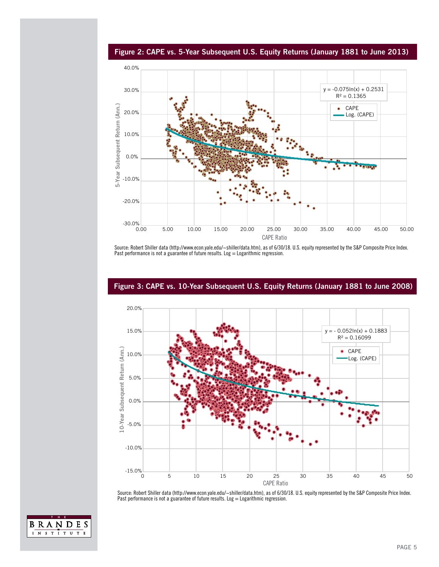

Figure 2: CAPE vs. 5-Year Subsequent U.S. Equity Returns (January 1881 to June 2013)

Source: Robert Shiller data (http://www.econ.yale.edu/~shiller/data.htm), as of 6/30/18. U.S. equity represented by the S&P Composite Price Index. Past performance is not a guarantee of future results. Log = Logarithmic regression.



#### Figure 3: CAPE vs. 10-Year Subsequent U.S. Equity Returns (January 1881 to June 2008)

Source: Robert Shiller data (http://www.econ.yale.edu/~shiller/data.htm), as of 6/30/18. U.S. equity represented by the S&P Composite Price Index. Past performance is not a guarantee of future results. Log  $=$  Logarithmic regression.

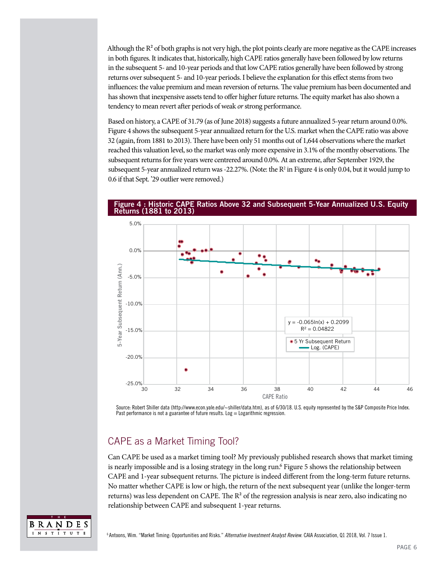Although the  $R<sup>2</sup>$  of both graphs is not very high, the plot points clearly are more negative as the CAPE increases in both figures. It indicates that, historically, high CAPE ratios generally have been followed by low returns in the subsequent 5- and 10-year periods and that low CAPE ratios generally have been followed by strong returns over subsequent 5- and 10-year periods. I believe the explanation for this effect stems from two influences: the value premium and mean reversion of returns. The value premium has been documented and has shown that inexpensive assets tend to offer higher future returns. The equity market has also shown a tendency to mean revert after periods of weak *or* strong performance.

Based on history, a CAPE of 31.79 (as of June 2018) suggests a future annualized 5-year return around 0.0%. Figure 4 shows the subsequent 5-year annualized return for the U.S. market when the CAPE ratio was above 32 (again, from 1881 to 2013). There have been only 51 months out of 1,644 observations where the market reached this valuation level, so the market was only more expensive in 3.1% of the monthy observations. The subsequent returns for five years were centrered around 0.0%. At an extreme, after September 1929, the subsequent 5-year annualized return was -22.27%. (Note: the  $R^2$  in Figure 4 is only 0.04, but it would jump to 0.6 if that Sept. '29 outlier were removed.)



#### Figure 4 : Historic CAPE Ratios Above 32 and Subsequent 5-Year Annualized U.S. Equity Returns (1881 to 2013)

Source: Robert Shiller data (http://www.econ.yale.edu/~shiller/data.htm), as of 6/30/18. U.S. equity represented by the S&P Composite Price Index. Past performance is not a guarantee of future results. Log  $=$  Logarithmic regression.

## CAPE as a Market Timing Tool?

Can CAPE be used as a market timing tool? My previously published research shows that market timing is nearly impossible and is a losing strategy in the long run.<sup>6</sup> Figure 5 shows the relationship between CAPE and 1-year subsequent returns. The picture is indeed different from the long-term future returns. No matter whether CAPE is low or high, the return of the next subsequent year (unlike the longer-term returns) was less dependent on CAPE. The  $R<sup>2</sup>$  of the regression analysis is near zero, also indicating no relationship between CAPE and subsequent 1-year returns.

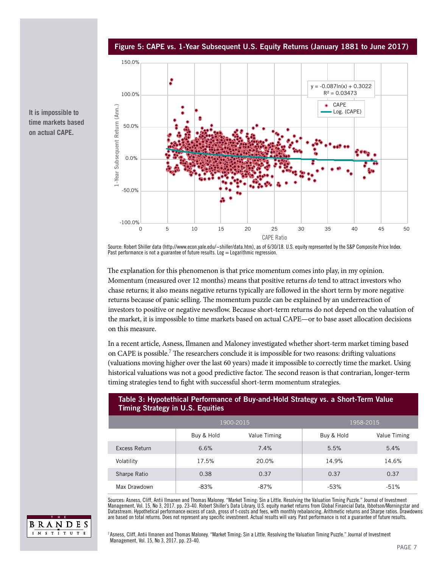Figure 5: CAPE vs. 1-Year Subsequent U.S. Equity Returns (January 1881 to June 2017)



**It is impossible to time markets based on actual CAPE.**

> Source: Robert Shiller data (http://www.econ.yale.edu/~shiller/data.htm), as of 6/30/18. U.S. equity represented by the S&P Composite Price Index. Past performance is not a guarantee of future results. Log  $=$  Logarithmic regression.

The explanation for this phenomenon is that price momentum comes into play, in my opinion. Momentum (measured over 12 months) means that positive returns *do* tend to attract investors who chase returns; it also means negative returns typically are followed in the short term by more negative returns because of panic selling. The momentum puzzle can be explained by an underreaction of investors to positive or negative newsflow. Because short-term returns do not depend on the valuation of the market, it is impossible to time markets based on actual CAPE—or to base asset allocation decisions on this measure.

In a recent article, Asness, Ilmanen and Maloney investigated whether short-term market timing based on CAPE is possible.<sup>7</sup> The researchers conclude it is impossible for two reasons: drifting valuations (valuations moving higher over the last 60 years) made it impossible to correctly time the market. Using historical valuations was not a good predictive factor. The second reason is that contrarian, longer-term timing strategies tend to fight with successful short-term momentum strategies.

#### Table 3: Hypotethical Performance of Buy-and-Hold Strategy vs. a Short-Term Value Timing Strategy in U.S. Equities

|               |            | 1900-2015    | 1958-2015  |              |  |
|---------------|------------|--------------|------------|--------------|--|
|               | Buy & Hold | Value Timing | Buy & Hold | Value Timing |  |
| Excess Return | 6.6%       | 7.4%         | 5.5%       | 5.4%         |  |
| Volatility    | 17.5%      | 20.0%        | 14.9%      | 14.6%        |  |
| Sharpe Ratio  | 0.38       | 0.37         | 0.37       | 0.37         |  |
| Max Drawdown  | $-83%$     | $-87%$       | $-53%$     | $-51%$       |  |

Sources: Asness, Cliff, Antii Ilmanen and Thomas Maloney. "Market Timing: Sin a Little. Resolving the Valuation Timing Puzzle." Journal of Investment Management, Vol. 15, No 3, 2017. pp. 23-40. Robert Shiller's Data Library, U.S. equity market returns from Global Financial Data, Ibbotson/Morningstar and Datastream. Hypothetical performance excess of cash, gross of t-costs and fees, with monthly rebalancing. Arithmetic returns and Sharpe ratios. Drawdowns are based on total returns. Does not represent any specific investment. Actual results will vary. Past performance is not a guarantee of future results.



<sup>7</sup> Asness, Cliff, Antii Ilmanen and Thomas Maloney. "Market Timing: Sin a Little. Resolving the Valuation Timing Puzzle." Journal of Investment Management, Vol. 15, No 3, 2017. pp. 23-40.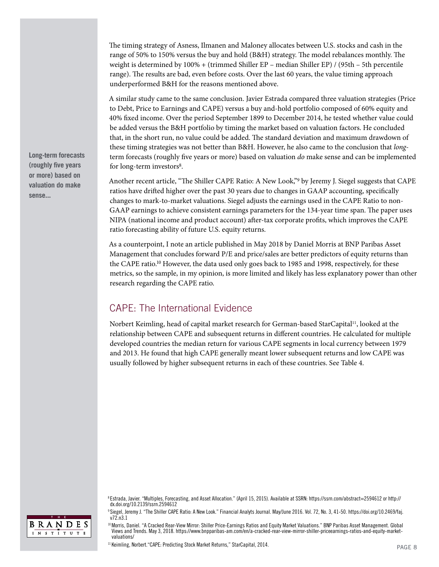The timing strategy of Asness, Ilmanen and Maloney allocates between U.S. stocks and cash in the range of 50% to 150% versus the buy and hold (B&H) strategy. The model rebalances monthly. The weight is determined by 100% + (trimmed Shiller EP – median Shiller EP) / (95th – 5th percentile range). The results are bad, even before costs. Over the last 60 years, the value timing approach underperformed B&H for the reasons mentioned above.

A similar study came to the same conclusion. Javier Estrada compared three valuation strategies (Price to Debt, Price to Earnings and CAPE) versus a buy and-hold portfolio composed of 60% equity and 40% fixed income. Over the period September 1899 to December 2014, he tested whether value could be added versus the B&H portfolio by timing the market based on valuation factors. He concluded that, in the short run, no value could be added. The standard deviation and maximum drawdown of these timing strategies was not better than B&H. However, he also came to the conclusion that *long*term forecasts (roughly five years or more) based on valuation *do* make sense and can be implemented for long-term investors<sup>8</sup>.

Another recent article, "The Shiller CAPE Ratio: A New Look,"9 by Jeremy J. Siegel suggests that CAPE ratios have drifted higher over the past 30 years due to changes in GAAP accounting, specifically changes to mark-to-market valuations. Siegel adjusts the earnings used in the CAPE Ratio to non-GAAP earnings to achieve consistent earnings parameters for the 134-year time span. The paper uses NIPA (national income and product account) after-tax corporate profits, which improves the CAPE ratio forecasting ability of future U.S. equity returns.

As a counterpoint, I note an article published in May 2018 by Daniel Morris at BNP Paribas Asset Management that concludes forward P/E and price/sales are better predictors of equity returns than the CAPE ratio.<sup>10</sup> However, the data used only goes back to 1985 and 1998, respectively, for these metrics, so the sample, in my opinion, is more limited and likely has less explanatory power than other research regarding the CAPE ratio.

## CAPE: The International Evidence

Norbert Keimling, head of capital market research for German-based StarCapital<sup>11</sup>, looked at the relationship between CAPE and subsequent returns in different countries. He calculated for multiple developed countries the median return for various CAPE segments in local currency between 1979 and 2013. He found that high CAPE generally meant lower subsequent returns and low CAPE was usually followed by higher subsequent returns in each of these countries. See Table 4.

**Long-term forecasts (roughly five years or more) based on valuation do make sense...**



<sup>8</sup> Estrada, Javier. "Multiples, Forecasting, and Asset Allocation." (April 15, 2015). Available at SSRN: https://ssrn.com/abstract=2594612 or http:// dx.doi.org/10.2139/ssrn.2594612

<sup>9</sup> Siegel, Jeremy J. "The Shiller CAPE Ratio: A New Look." Financial Analyts Journal. May/June 2016. Vol. 72, No. 3, 41-50. https://doi.org/10.2469/faj. v<sub>72</sub> n<sub>3</sub> 1

<sup>10</sup> Morris, Daniel. "A Cracked Rear-View Mirror: Shiller Price-Earnings Ratios and Equity Market Valuations." BNP Paribas Asset Management. Global Views and Trends. May 3, 2018. https://www.bnpparibas-am.com/en/a-cracked-rear-view-mirror-shiller-priceearnings-ratios-and-equity-marketvaluations/

<sup>&</sup>lt;sup>11</sup> Keimling, Norbert. "CAPE: Predicting Stock Market Returns," StarCapital, 2014.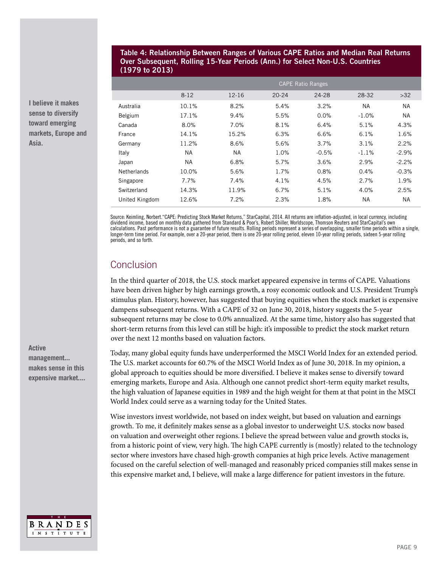#### Table 4: Relationship Between Ranges of Various CAPE Ratios and Median Real Returns Over Subsequent, Rolling 15-Year Periods (Ann.) for Select Non-U.S. Countries (1979 to 2013)

|                    | <b>CAPE Ratio Ranges</b> |           |           |         |           |           |
|--------------------|--------------------------|-----------|-----------|---------|-----------|-----------|
|                    | $8 - 12$                 | 12-16     | $20 - 24$ | 24-28   | 28-32     | $>32$     |
| Australia          | 10.1%                    | 8.2%      | 5.4%      | 3.2%    | <b>NA</b> | <b>NA</b> |
| Belgium            | 17.1%                    | 9.4%      | 5.5%      | 0.0%    | $-1.0%$   | <b>NA</b> |
| Canada             | 8.0%                     | 7.0%      | 8.1%      | 6.4%    | 5.1%      | 4.3%      |
| France             | 14.1%                    | 15.2%     | 6.3%      | 6.6%    | 6.1%      | 1.6%      |
| Germany            | 11.2%                    | 8.6%      | 5.6%      | 3.7%    | 3.1%      | 2.2%      |
| Italy              | <b>NA</b>                | <b>NA</b> | 1.0%      | $-0.5%$ | $-1.1%$   | $-2.9%$   |
| Japan              | <b>NA</b>                | 6.8%      | 5.7%      | 3.6%    | 2.9%      | $-2.2%$   |
| <b>Netherlands</b> | 10.0%                    | 5.6%      | 1.7%      | 0.8%    | 0.4%      | $-0.3%$   |
| Singapore          | $7.7\%$                  | 7.4%      | 4.1%      | 4.5%    | 2.7%      | 1.9%      |
| Switzerland        | 14.3%                    | 11.9%     | 6.7%      | 5.1%    | 4.0%      | 2.5%      |
| United Kingdom     | 12.6%                    | 7.2%      | 2.3%      | 1.8%    | <b>NA</b> | <b>NA</b> |

Source: Keimling, Norbert."CAPE: Predicting Stock Market Returns," StarCapital, 2014. All returns are inflation-adjusted, in local currency, including dividend income, based on monthly data gathered from Standard & Poor's, Robert Shiller, Worldscope, Thomson Reuters and StarCapital's own calculations. Past performance is not a guarantee of future results. Rolling periods represent a series of overlapping, smaller time periods within a single, longer-term time period. For example, over a 20-year period, there is one 20-year rolling period, eleven 10-year rolling periods, sixteen 5-year rolling periods, and so forth.

## Conclusion

In the third quarter of 2018, the U.S. stock market appeared expensive in terms of CAPE. Valuations have been driven higher by high earnings growth, a rosy economic outlook and U.S. President Trump's stimulus plan. History, however, has suggested that buying equities when the stock market is expensive dampens subsequent returns. With a CAPE of 32 on June 30, 2018, history suggests the 5-year subsequent returns may be close to 0.0% annualized. At the same time, history also has suggested that short-term returns from this level can still be high: it's impossible to predict the stock market return over the next 12 months based on valuation factors.

Today, many global equity funds have underperformed the MSCI World Index for an extended period. The U.S. market accounts for 60.7% of the MSCI World Index as of June 30, 2018. In my opinion, a global approach to equities should be more diversified. I believe it makes sense to diversify toward emerging markets, Europe and Asia. Although one cannot predict short-term equity market results, the high valuation of Japanese equities in 1989 and the high weight for them at that point in the MSCI World Index could serve as a warning today for the United States.

Wise investors invest worldwide, not based on index weight, but based on valuation and earnings growth. To me, it definitely makes sense as a global investor to underweight U.S. stocks now based on valuation and overweight other regions. I believe the spread between value and growth stocks is, from a historic point of view, very high. The high CAPE currently is (mostly) related to the technology sector where investors have chased high-growth companies at high price levels. Active management focused on the careful selection of well-managed and reasonably priced companies still makes sense in this expensive market and, I believe, will make a large difference for patient investors in the future.



**I believe it makes sense to diversify toward emerging markets, Europe and Asia.** 

**Active management... makes sense in this expensive market....**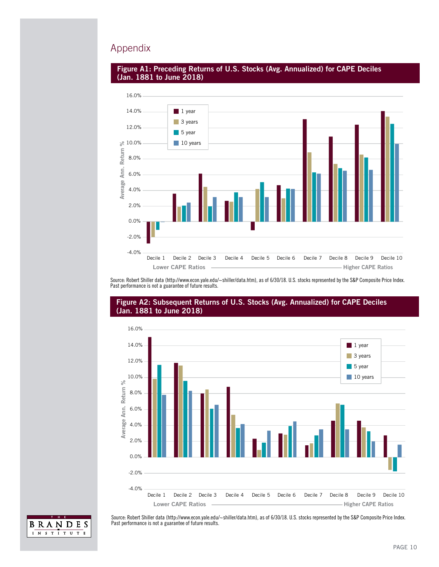### Appendix





Source: Robert Shiller data (http://www.econ.yale.edu/~shiller/data.htm), as of 6/30/18. U.S. stocks represented by the S&P Composite Price Index. Past performance is not a guarantee of future results.



#### Figure A2: Subsequent Returns of U.S. Stocks (Avg. Annualized) for CAPE Deciles (Jan. 1881 to June 2018)



Source: Robert Shiller data (http://www.econ.yale.edu/~shiller/data.htm), as of 6/30/18. U.S. stocks represented by the S&P Composite Price Index. Past performance is not a guarantee of future results.